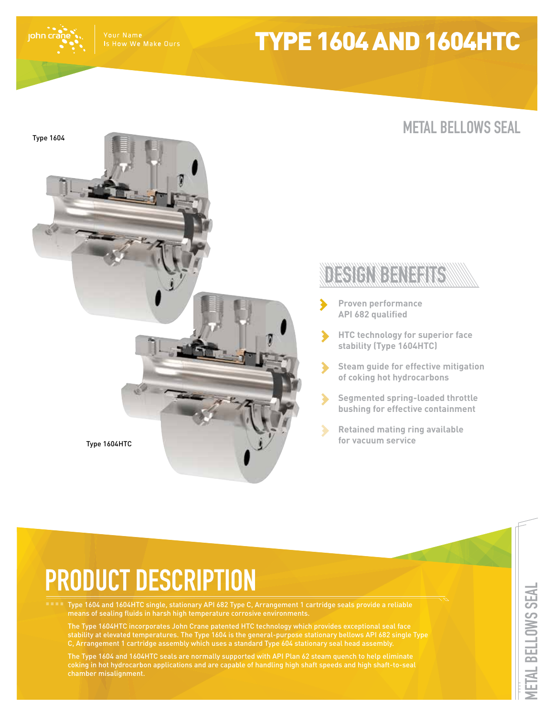Is How We Make Ours

# TYPE 1604 AND 1604HTC

john cr



## **METAL BELLOWS SEAL**

## DECICINDENTERIO

- **Proven performance API 682 qualified**
- **HTC technology for superior face stability (Type 1604HTC)**
- **Steam guide for effective mitigation of coking hot hydrocarbons**
- **Segmented spring-loaded throttle bushing for effective containment**
- **Retained mating ring available**

# **PRODUCT DESCRIPTION**

Type 1604 and 1604HTC single, stationary API 682 Type C, Arrangement 1 cartridge seals provide a reliable means of sealing fluids in harsh high temperature corrosive environments.

The Type 1604HTC incorporates John Crane patented HTC technology which provides exceptional seal face stability at elevated temperatures. The Type 1604 is the general-purpose stationary bellows API 682 single Type C, Arrangement 1 cartridge assembly which uses a standard Type 604 stationary seal head assembly.

The Type 1604 and 1604HTC seals are normally supported with API Plan 62 steam quench to help eliminate coking in hot hydrocarbon applications and are capable of handling high shaft speeds and high shaft-to-seal chamber misalignment.